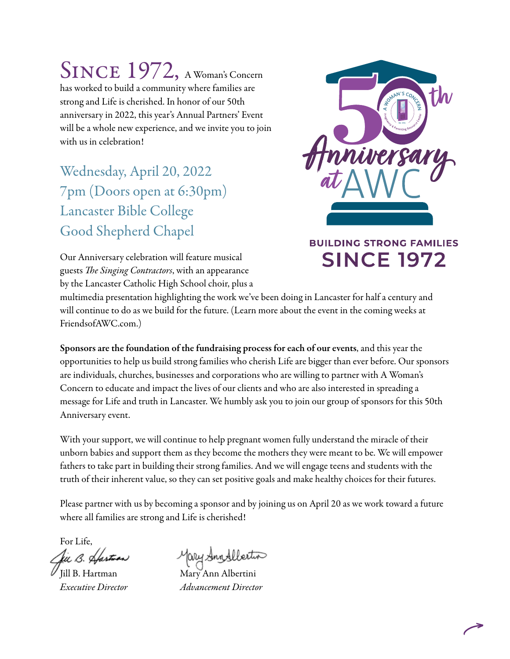SINCE 1972, A Woman's Concern has worked to build a community where families are strong and Life is cherished. In honor of our 50th anniversary in 2022, this year's Annual Partners' Event will be a whole new experience, and we invite you to join with us in celebration!

Wednesday, April 20, 2022 7pm (Doors open at 6:30pm) Lancaster Bible College Good Shepherd Chapel

Our Anniversary celebration will feature musical guests *The Singing Contractors*, with an appearance by the Lancaster Catholic High School choir, plus a



### **BUILDING STRONG FAMILIES SINCE 1972**

multimedia presentation highlighting the work we've been doing in Lancaster for half a century and will continue to do as we build for the future. (Learn more about the event in the coming weeks at FriendsofAWC.com.)

Sponsors are the foundation of the fundraising process for each of our events, and this year the opportunities to help us build strong families who cherish Life are bigger than ever before. Our sponsors are individuals, churches, businesses and corporations who are willing to partner with A Woman's Concern to educate and impact the lives of our clients and who are also interested in spreading a message for Life and truth in Lancaster. We humbly ask you to join our group of sponsors for this 50th Anniversary event.

With your support, we will continue to help pregnant women fully understand the miracle of their unborn babies and support them as they become the mothers they were meant to be. We will empower fathers to take part in building their strong families. And we will engage teens and students with the truth of their inherent value, so they can set positive goals and make healthy choices for their futures.

Please partner with us by becoming a sponsor and by joining us on April 20 as we work toward a future where all families are strong and Life is cherished!

For Life, tii B. Sta

fary Annslleito

Jill B. Hartman Mary Ann Albertini *Executive Director Advancement Director*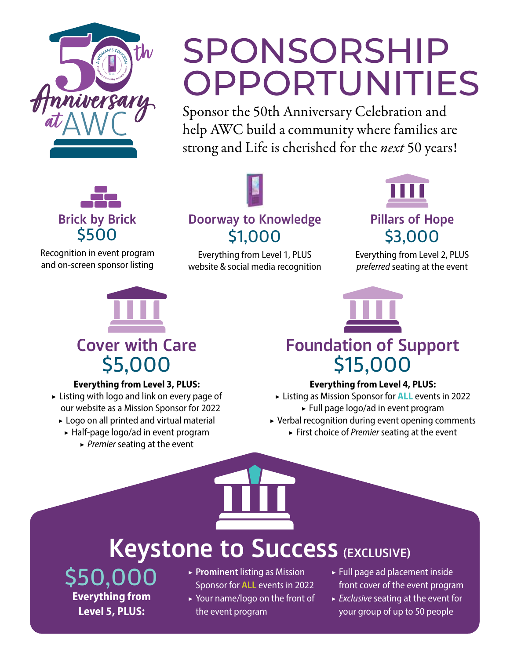

# SPONSORSHIP OPPORTUNITIES

Sponsor the 50th Anniversary Celebration and help AWC build a community where families are strong and Life is cherished for the *next* 50 years!



Recognition in event program and on-screen sponsor listing



### **Doorway to Knowledge** \$1,000

Everything from Level 1, PLUS website & social media recognition



### **Pillars of Hope** \$3,000

Everything from Level 2, PLUS *preferred* seating at the event



### **Everything from Level 3, PLUS:**

- $\triangleright$  Listing with logo and link on every page of our website as a Mission Sponsor for 2022
	- ▶ Logo on all printed and virtual material
	- ▶ Half-page logo/ad in event program
		- ▶ *Premier* seating at the event



### **Everything from Level 4, PLUS:**

- ▶ Listing as Mission Sponsor for **ALL** events in 2022 ▶ Full page logo/ad in event program
- ▶ Verbal recognition during event opening comments
	- ▶ First choice of *Premier* seating at the event

## **Keystone to Success (EXCLUSIVE)**

\$50,000 **Everything from Level 5, PLUS:**

- ▶ **Prominent** listing as Mission Sponsor for **ALL** events in 2022 ▶ Your name/logo on the front of the event program
- ▶ Full page ad placement inside front cover of the event program
- ▶ *Exclusive* seating at the event for your group of up to 50 people